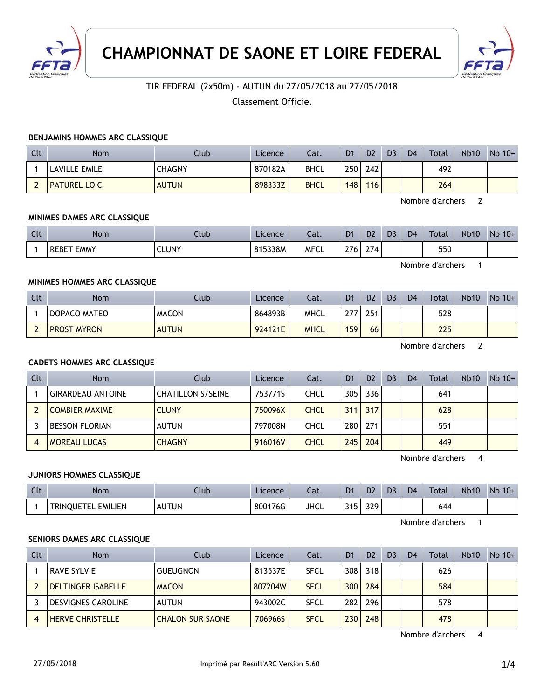



## TIR FEDERAL (2x50m) - AUTUN du 27/05/2018 au 27/05/2018

Classement Officiel

### **BENJAMINS HOMMES ARC CLASSIQUE**

| Clt | <b>Nom</b>          | Club          | Licence | Cat.        | D <sub>1</sub>   | D <sub>2</sub> | D <sub>3</sub> | D <sub>4</sub> | Total | <b>Nb10</b> | $Nb$ 10+ |
|-----|---------------------|---------------|---------|-------------|------------------|----------------|----------------|----------------|-------|-------------|----------|
|     | LAVILLE EMILE       | <b>CHAGNY</b> | 870182A | <b>BHCL</b> | 250 <sub>1</sub> | 242            |                |                | 492   |             |          |
|     | <b>PATUREL LOIC</b> | <b>AUTUN</b>  | 898333Z | <b>BHCL</b> | 148              | 116            |                |                | 264   |             |          |

Nombre d'archers 2

### **MINIMES DAMES ARC CLASSIQUE**

| Clt | <b>Nom</b>                  | Club         | Licence | $\sim$<br>caι. | D <sub>1</sub> | D <sub>2</sub>                          | D <sub>3</sub> | D <sub>4</sub> | <b>Total</b> | <b>Nb10</b> | Nb<br>$10+$ |
|-----|-----------------------------|--------------|---------|----------------|----------------|-----------------------------------------|----------------|----------------|--------------|-------------|-------------|
|     | <b>EMMY</b><br><b>REBET</b> | <b>CLUNY</b> | 815338M | <b>MFCL</b>    | 776.<br>41 U   | $\sim$ $-$<br>$\mathcal{L}/\mathcal{L}$ |                |                | 550          |             |             |

Nombre d'archers 1

### **MINIMES HOMMES ARC CLASSIQUE**

| Clt | <b>Nom</b>         | Club         | Licence | Cat.        | D <sub>1</sub> | D <sub>2</sub> | D <sub>3</sub> | D <sub>4</sub> | <b>Total</b> | <b>Nb10</b> | $Nb 10+$ |
|-----|--------------------|--------------|---------|-------------|----------------|----------------|----------------|----------------|--------------|-------------|----------|
|     | DOPACO MATEO       | <b>MACON</b> | 864893B | <b>MHCL</b> | 77             | 251            |                |                | 528          |             |          |
|     | <b>PROST MYRON</b> | <b>AUTUN</b> | 924121E | <b>MHCL</b> | 159            | 66             |                |                | 225          |             |          |

Nombre d'archers 2

### **CADETS HOMMES ARC CLASSIQUE**

| Clt | <b>Nom</b>               | Club                     | Licence | Cat.        | D <sub>1</sub>   | D <sub>2</sub> | D <sub>3</sub> | D <sub>4</sub> | Total | <b>Nb10</b> | $Nb$ 10+ |
|-----|--------------------------|--------------------------|---------|-------------|------------------|----------------|----------------|----------------|-------|-------------|----------|
|     | <b>GIRARDEAU ANTOINE</b> | <b>CHATILLON S/SEINE</b> | 753771S | CHCL        | 305              | 336            |                |                | 641   |             |          |
|     | <b>COMBIER MAXIME</b>    | <b>CLUNY</b>             | 750096X | <b>CHCL</b> | 311              | 317            |                |                | 628   |             |          |
|     | <b>BESSON FLORIAN</b>    | <b>AUTUN</b>             | 797008N | CHCL        | 280              | 271            |                |                | 551   |             |          |
|     | <b>MOREAU LUCAS</b>      | <b>CHAGNY</b>            | 916016V | <b>CHCL</b> | 245 <sub>1</sub> | 204            |                |                | 449   |             |          |

Nombre d'archers 4

### **JUNIORS HOMMES CLASSIQUE**

| Clt | <b>Nom</b>                        | .lub         | Licence | Cat.        | D <sub>1</sub>    | D <sub>2</sub> | D <sub>3</sub> | D <sub>4</sub> | Total | <b>Nb10</b> | <b>Nb</b><br>$10+$ |
|-----|-----------------------------------|--------------|---------|-------------|-------------------|----------------|----------------|----------------|-------|-------------|--------------------|
|     | <b>EMILIEN</b><br>TF)<br>TRINOUE, | <b>AUTUN</b> | 800176G | <b>JHCL</b> | 24E<br><u>JIJ</u> | 329            |                |                | 644   |             |                    |

Nombre d'archers 1

#### **SENIORS DAMES ARC CLASSIQUE**

| Clt | <b>Nom</b>                | Club                    | Licence | Cat.        | D <sub>1</sub> | D <sub>2</sub> | D <sub>3</sub> | D <sub>4</sub> | Total | <b>Nb10</b> | $Nb$ 10+ |
|-----|---------------------------|-------------------------|---------|-------------|----------------|----------------|----------------|----------------|-------|-------------|----------|
|     | RAVE SYLVIE               | <b>GUEUGNON</b>         | 813537E | <b>SFCL</b> | 308            | 318            |                |                | 626   |             |          |
|     | DELTINGER ISABELLE        | <b>MACON</b>            | 807204W | <b>SFCL</b> | 300            | 284            |                |                | 584   |             |          |
|     | <b>DESVIGNES CAROLINE</b> | <b>AUTUN</b>            | 943002C | <b>SFCL</b> | 282            | 296            |                |                | 578   |             |          |
|     | <b>HERVE CHRISTELLE</b>   | <b>CHALON SUR SAONE</b> | 706966S | <b>SFCL</b> | 230            | 248            |                |                | 478   |             |          |

Nombre d'archers 4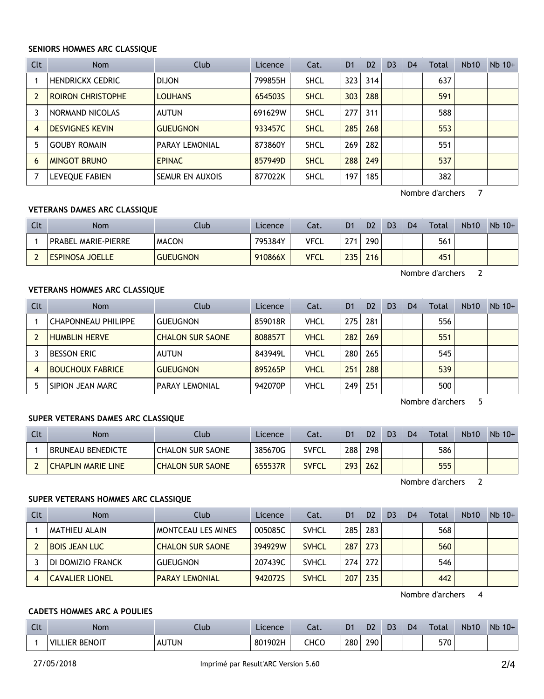### **SENIORS HOMMES ARC CLASSIQUE**

| Clt            | <b>Nom</b>               | Club                  | Licence | Cat.        | D <sub>1</sub> | D <sub>2</sub> | D <sub>3</sub> | D <sub>4</sub> | Total | Nb10 | $Nb$ 10+ |
|----------------|--------------------------|-----------------------|---------|-------------|----------------|----------------|----------------|----------------|-------|------|----------|
|                | <b>HENDRICKX CEDRIC</b>  | <b>DIJON</b>          | 799855H | <b>SHCL</b> | 323            | 314            |                |                | 637   |      |          |
| $\overline{2}$ | <b>ROIRON CHRISTOPHE</b> | <b>LOUHANS</b>        | 654503S | <b>SHCL</b> | 303            | 288            |                |                | 591   |      |          |
|                | NORMAND NICOLAS          | AUTUN                 | 691629W | <b>SHCL</b> | 277            | 311            |                |                | 588   |      |          |
| $\overline{4}$ | <b>DESVIGNES KEVIN</b>   | <b>GUEUGNON</b>       | 933457C | <b>SHCL</b> | 285            | 268            |                |                | 553   |      |          |
| 5              | <b>GOUBY ROMAIN</b>      | <b>PARAY LEMONIAL</b> | 873860Y | <b>SHCL</b> | 269            | 282            |                |                | 551   |      |          |
| 6              | <b>MINGOT BRUNO</b>      | <b>EPINAC</b>         | 857949D | <b>SHCL</b> | 288            | 249            |                |                | 537   |      |          |
|                | LEVEQUE FABIEN           | SEMUR EN AUXOIS       | 877022K | <b>SHCL</b> | 197            | 185            |                |                | 382   |      |          |

Nombre d'archers 7

## **VETERANS DAMES ARC CLASSIQUE**

| Clt | <b>Nom</b>                 | Club            | Licence | Cat.        | D <sub>1</sub> | D <sub>2</sub> | D <sub>3</sub> | D <sub>4</sub> | <b>Total</b> | <b>Nb10</b> | $Nb$ 10+ |
|-----|----------------------------|-----------------|---------|-------------|----------------|----------------|----------------|----------------|--------------|-------------|----------|
|     | <b>PRABEL MARIE-PIERRE</b> | <b>MACON</b>    | 795384Y | <b>VFCL</b> | 271            | 290            |                |                | 561          |             |          |
|     | <b>ESPINOSA JOELLE</b>     | <b>GUEUGNON</b> | 910866X | <b>VFCL</b> | 235            | 216            |                |                | 451          |             |          |

Nombre d'archers 2

## **VETERANS HOMMES ARC CLASSIQUE**

| Clt | <b>Nom</b>                 | Club                    | Licence | Cat.        | D <sub>1</sub> | D <sub>2</sub> | D <sub>3</sub> | D <sub>4</sub> | Total | <b>Nb10</b> | $Nb$ 10+ |
|-----|----------------------------|-------------------------|---------|-------------|----------------|----------------|----------------|----------------|-------|-------------|----------|
|     | <b>CHAPONNEAU PHILIPPE</b> | <b>GUEUGNON</b>         | 859018R | VHCL        | 275            | 281            |                |                | 556   |             |          |
|     | <b>HUMBLIN HERVE</b>       | <b>CHALON SUR SAONE</b> | 808857T | <b>VHCL</b> | 282            | 269            |                |                | 551   |             |          |
|     | <b>BESSON ERIC</b>         | <b>AUTUN</b>            | 843949L | VHCL        | 280            | 265            |                |                | 545   |             |          |
|     | <b>BOUCHOUX FABRICE</b>    | <b>GUEUGNON</b>         | 895265P | <b>VHCL</b> | 251            | 288            |                |                | 539   |             |          |
|     | SIPION JEAN MARC           | <b>PARAY LEMONIAL</b>   | 942070P | VHCL        | 249            | 251            |                |                | 500   |             |          |

Nombre d'archers 5

## **SUPER VETERANS DAMES ARC CLASSIQUE**

| Clt | Nom                       | ⊺lub ∶                  | Licence | Cat.  | D <sub>1</sub> | D <sub>2</sub> | D <sub>3</sub> | D <sub>4</sub> | Total | <b>Nb10</b> | $Nb$ 10+ |
|-----|---------------------------|-------------------------|---------|-------|----------------|----------------|----------------|----------------|-------|-------------|----------|
|     | BRUNEAU BENEDICTE         | <b>CHALON SUR SAONE</b> | 385670G | SVFCL | 288            | 298            |                |                | 586   |             |          |
|     | <b>CHAPLIN MARIE LINE</b> | <b>CHALON SUR SAONE</b> | 655537R | SVFCL | 293            | 262            |                |                | 555   |             |          |

Nombre d'archers 2

## **SUPER VETERANS HOMMES ARC CLASSIQUE**

| Clt | Nom                    | Club                    | Licence | Cat.         | D1  | D <sub>2</sub> | D <sub>3</sub> | D <sub>4</sub> | Total | <b>Nb10</b> | $Nb$ 10+ |
|-----|------------------------|-------------------------|---------|--------------|-----|----------------|----------------|----------------|-------|-------------|----------|
|     | MATHIEU ALAIN          | MONTCEAU LES MINES      | 005085C | <b>SVHCL</b> | 285 | 283            |                |                | 568   |             |          |
|     | <b>BOIS JEAN LUC</b>   | <b>CHALON SUR SAONE</b> | 394929W | <b>SVHCL</b> | 287 | 273            |                |                | 560   |             |          |
|     | DI DOMIZIO FRANCK      | <b>GUEUGNON</b>         | 207439C | <b>SVHCL</b> | 274 | 272            |                |                | 546   |             |          |
|     | <b>CAVALIER LIONEL</b> | <b>PARAY LEMONIAL</b>   | 942072S | <b>SVHCL</b> | 207 | 235            |                |                | 442   |             |          |

Nombre d'archers 4

## **CADETS HOMMES ARC A POULIES**

| $\sim$<br>しいし | Nom                     | Club               | Licence | - 1<br>cal. | D <sub>1</sub> | D <sub>2</sub> | D | D <sub>4</sub> | <b>Total</b> | <b>Nb10</b> | Nb<br>$10+$ |
|---------------|-------------------------|--------------------|---------|-------------|----------------|----------------|---|----------------|--------------|-------------|-------------|
|               | : BENOIT<br>VIL<br>IFR. | <b>AUTUN</b><br>AU | 801902H | снсс        | 280            | 290            |   |                | 570          |             |             |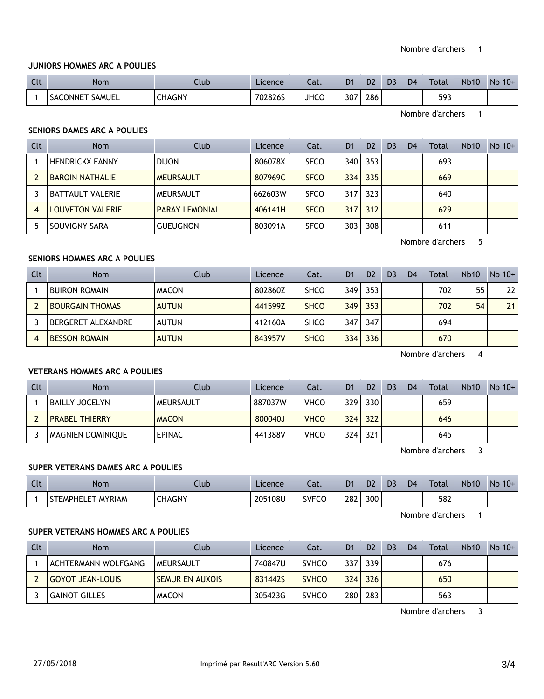### **JUNIORS HOMMES ARC A POULIES**

| Clt | <b>Nom</b>                | Club   | Licence | - 1<br>cal. | D <sub>1</sub> | D <sub>2</sub> | D <sub>3</sub> | D <sub>4</sub> | Total | <b>Nb10</b> | Nb<br>$10+$ |
|-----|---------------------------|--------|---------|-------------|----------------|----------------|----------------|----------------|-------|-------------|-------------|
|     | <b>SAMUEL</b><br>SACONNET | CHAGNY | 702826S | <b>JHCC</b> | 307            | 286            |                |                | 593   |             |             |

Nombre d'archers 1

## **SENIORS DAMES ARC A POULIES**

| Clt | <b>Nom</b>              | Club                  | Licence | Cat.        | D <sub>1</sub> | D <sub>2</sub> | D <sub>3</sub> | D <sub>4</sub> | <b>Total</b> | <b>Nb10</b> | $Nb$ 10+ |
|-----|-------------------------|-----------------------|---------|-------------|----------------|----------------|----------------|----------------|--------------|-------------|----------|
|     | <b>HENDRICKX FANNY</b>  | <b>DIJON</b>          | 806078X | <b>SFCO</b> | 340            | 353            |                |                | 693          |             |          |
|     | <b>BAROIN NATHALIE</b>  | <b>MEURSAULT</b>      | 807969C | <b>SFCO</b> | 334            | 335            |                |                | 669          |             |          |
|     | <b>BATTAULT VALERIE</b> | MEURSAULT             | 662603W | <b>SFCO</b> | 317            | 323            |                |                | 640          |             |          |
| 4   | <b>LOUVETON VALERIE</b> | <b>PARAY LEMONIAL</b> | 406141H | <b>SFCO</b> | 317            | 312            |                |                | 629          |             |          |
|     | SOUVIGNY SARA           | <b>GUEUGNON</b>       | 803091A | <b>SFCO</b> | 303            | 308            |                |                | 611          |             |          |

Nombre d'archers 5

# **SENIORS HOMMES ARC A POULIES**

| Clt | <b>Nom</b>             | Club         | Licence | Cat.        | D <sub>1</sub> | D <sub>2</sub> | D <sub>3</sub> | D <sub>4</sub> | Total | <b>Nb10</b> | $Nb$ 10+ |
|-----|------------------------|--------------|---------|-------------|----------------|----------------|----------------|----------------|-------|-------------|----------|
|     | <b>BUIRON ROMAIN</b>   | <b>MACON</b> | 802860Z | <b>SHCO</b> | 349            | 353            |                |                | 702   | 55          | 22       |
|     | <b>BOURGAIN THOMAS</b> | <b>AUTUN</b> | 441599Z | <b>SHCO</b> | 349            | 353            |                |                | 702   | 54          | 21       |
|     | BERGERET ALEXANDRE     | <b>AUTUN</b> | 412160A | <b>SHCO</b> | 347            | 347            |                |                | 694   |             |          |
| 4   | <b>BESSON ROMAIN</b>   | <b>AUTUN</b> | 843957V | <b>SHCO</b> | 334            | 336            |                |                | 670   |             |          |

Nombre d'archers 4

### **VETERANS HOMMES ARC A POULIES**

| Clt | Nom                      | Club          | Licence | Cat.        | D1  | D <sub>2</sub> | D <sub>3</sub> | D <sub>4</sub> | Total | <b>Nb10</b> | $Nb$ 10+ |
|-----|--------------------------|---------------|---------|-------------|-----|----------------|----------------|----------------|-------|-------------|----------|
|     | <b>BAILLY JOCELYN</b>    | MEURSAULT     | 887037W | VHCO        | 329 | 330            |                |                | 659   |             |          |
|     | <b>PRABEL THIERRY</b>    | <b>MACON</b>  | 800040J | <b>VHCO</b> | 324 | 322            |                |                | 646   |             |          |
|     | <b>MAGNIEN DOMINIQUE</b> | <b>EPINAC</b> | 441388V | <b>VHCO</b> | 324 | 321            |                |                | 645   |             |          |

Nombre d'archers 3

## **SUPER VETERANS DAMES ARC A POULIES**

| C14<br>$\sim$ | Nom                         | Ilub   | Licence | Lat.         | D <sub>1</sub> | D <sub>2</sub> | D <sub>3</sub> | D <sub>4</sub> | <b>Total</b> | <b>Nb10</b> | <b>Nb</b><br>$10+$ |
|---------------|-----------------------------|--------|---------|--------------|----------------|----------------|----------------|----------------|--------------|-------------|--------------------|
|               | <b>STEMPHELET</b><br>MYRIAM | CHAGNY | 205108U | <b>SVFCO</b> | 282            | 300            |                |                | 582          |             |                    |

Nombre d'archers 1

### **SUPER VETERANS HOMMES ARC A POULIES**

| Clt | Nom                 | Club                   | Licence | Cat.         | D <sub>1</sub> | D <sub>2</sub> | D <sub>3</sub> | D <sub>4</sub> | Total | <b>Nb10</b> | $Nb$ 10+ |
|-----|---------------------|------------------------|---------|--------------|----------------|----------------|----------------|----------------|-------|-------------|----------|
|     | ACHTERMANN WOLFGANG | MEURSAULT              | 740847U | <b>SVHCO</b> | 337            | 339            |                |                | 676   |             |          |
|     | GOYOT JEAN-LOUIS    | <b>SEMUR EN AUXOIS</b> | 831442S | <b>SVHCO</b> | 324            | 326            |                |                | 650   |             |          |
|     | GAINOT GILLES       | <b>MACON</b>           | 305423G | <b>SVHCO</b> | 280            | 283            |                |                | 563   |             |          |

Nombre d'archers 3